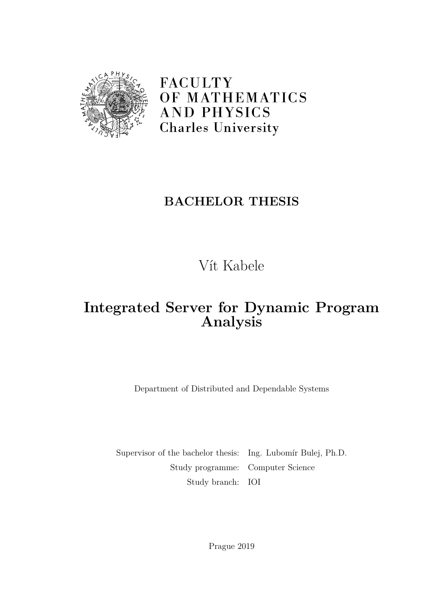

FACULTY OF MATHEMATICS **AND PHYSICS Charles University** 

# **BACHELOR THESIS**

Vít Kabele

# **Integrated Server for Dynamic Program Analysis**

Department of Distributed and Dependable Systems

Supervisor of the bachelor thesis: Ing. Lubomír Bulej, Ph.D. Study programme: Computer Science Study branch: IOI

Prague 2019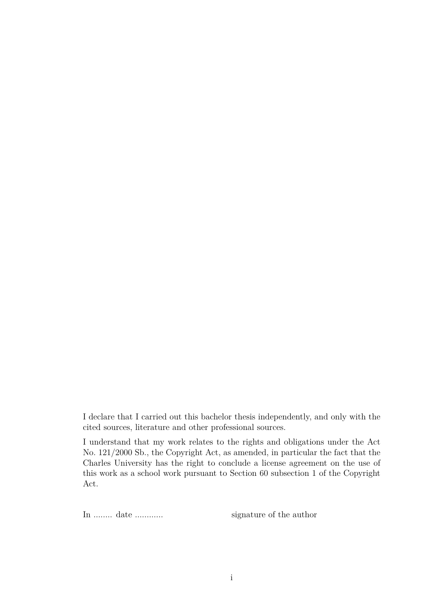I declare that I carried out this bachelor thesis independently, and only with the cited sources, literature and other professional sources.

I understand that my work relates to the rights and obligations under the Act No. 121/2000 Sb., the Copyright Act, as amended, in particular the fact that the Charles University has the right to conclude a license agreement on the use of this work as a school work pursuant to Section 60 subsection 1 of the Copyright Act.

In ........ date ............ signature of the author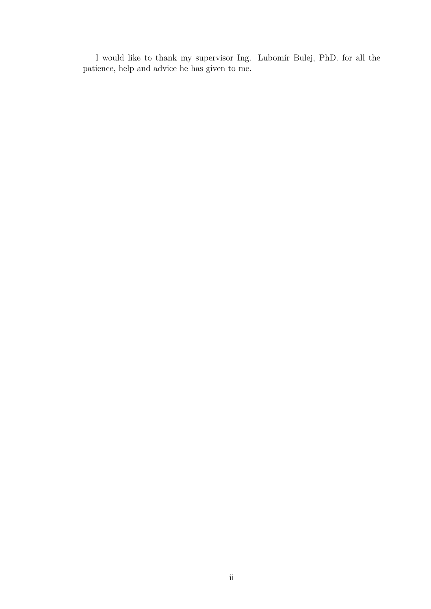I would like to thank my supervisor Ing. Lubom´ır Bulej, PhD. for all the patience, help and advice he has given to me.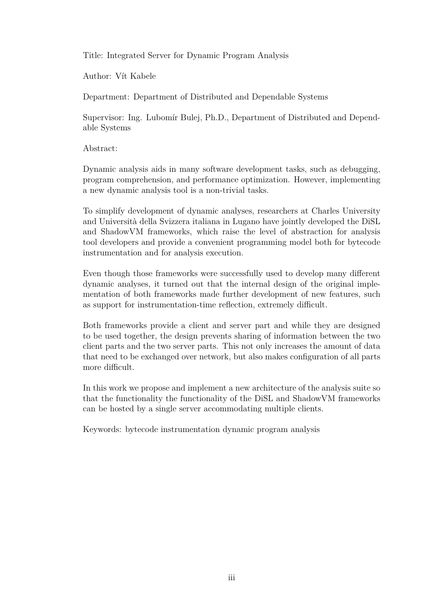Title: Integrated Server for Dynamic Program Analysis

Author: Vít Kabele

Department: Department of Distributed and Dependable Systems

Supervisor: Ing. Lubomír Bulej, Ph.D., Department of Distributed and Dependable Systems

Abstract:

Dynamic analysis aids in many software development tasks, such as debugging, program comprehension, and performance optimization. However, implementing a new dynamic analysis tool is a non-trivial tasks.

To simplify development of dynamic analyses, researchers at Charles University and Università della Svizzera italiana in Lugano have jointly developed the DiSL and ShadowVM frameworks, which raise the level of abstraction for analysis tool developers and provide a convenient programming model both for bytecode instrumentation and for analysis execution.

Even though those frameworks were successfully used to develop many different dynamic analyses, it turned out that the internal design of the original implementation of both frameworks made further development of new features, such as support for instrumentation-time reflection, extremely difficult.

Both frameworks provide a client and server part and while they are designed to be used together, the design prevents sharing of information between the two client parts and the two server parts. This not only increases the amount of data that need to be exchanged over network, but also makes configuration of all parts more difficult.

In this work we propose and implement a new architecture of the analysis suite so that the functionality the functionality of the DiSL and ShadowVM frameworks can be hosted by a single server accommodating multiple clients.

Keywords: bytecode instrumentation dynamic program analysis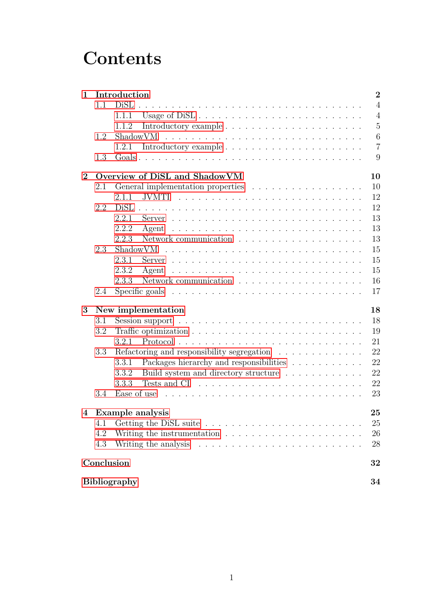# **Contents**

| $\mathbf{1}$   | 1.1                                 | Introduction<br>DiSL                                                                            | $\overline{2}$<br>$\overline{4}$ |  |  |
|----------------|-------------------------------------|-------------------------------------------------------------------------------------------------|----------------------------------|--|--|
|                |                                     | 1.1.1                                                                                           | $\overline{4}$                   |  |  |
|                |                                     | 1.1.2                                                                                           | $\overline{5}$                   |  |  |
|                | 1.2                                 | ShadowVM                                                                                        | $6\phantom{.}6$                  |  |  |
|                |                                     | 1.2.1                                                                                           | $\overline{7}$                   |  |  |
|                | 1.3                                 |                                                                                                 | 9                                |  |  |
| $\overline{2}$ | Overview of DiSL and ShadowVM<br>10 |                                                                                                 |                                  |  |  |
|                | 2.1                                 | General implementation properties                                                               | 10                               |  |  |
|                |                                     | 2.1.1                                                                                           | 12                               |  |  |
|                | 2.2                                 |                                                                                                 | 12                               |  |  |
|                |                                     | 2.2.1<br>$Server \dots \dots \dots \dots \dots \dots \dots \dots \dots \dots \dots \dots \dots$ | 13                               |  |  |
|                |                                     | 2.2.2<br>Agent                                                                                  | 13                               |  |  |
|                |                                     | 2.2.3                                                                                           | 13                               |  |  |
|                | 2.3                                 | ShadowVM                                                                                        | 15                               |  |  |
|                |                                     | 2.3.1                                                                                           | 15<br>15                         |  |  |
|                |                                     | 2.3.2<br>2.3.3                                                                                  | 16                               |  |  |
|                | 2.4                                 |                                                                                                 | 17                               |  |  |
|                |                                     |                                                                                                 |                                  |  |  |
| 3              |                                     | New implementation                                                                              | 18                               |  |  |
|                | 3.1                                 |                                                                                                 | 18                               |  |  |
|                | 3.2                                 | Traffic optimization $\ldots \ldots \ldots \ldots \ldots \ldots \ldots \ldots \ldots$           | 19                               |  |  |
|                |                                     | 3.2.1                                                                                           | 21                               |  |  |
|                | 3.3                                 | Refactoring and responsibility segregation                                                      | 22                               |  |  |
|                |                                     | Packages hierarchy and responsibilities<br>3.3.1                                                | 22                               |  |  |
|                |                                     | Build system and directory structure<br>3.3.2                                                   | 22                               |  |  |
|                |                                     | 3.3.3                                                                                           | 22                               |  |  |
|                | 3.4                                 | Ease of use                                                                                     | 23                               |  |  |
|                | 25<br>Example analysis              |                                                                                                 |                                  |  |  |
|                | 4.1                                 | Getting the DiSL suite $\dots \dots \dots \dots \dots \dots \dots \dots \dots$                  | 25                               |  |  |
|                | 4.2                                 | Writing the instrumentation $\ldots \ldots \ldots \ldots \ldots \ldots \ldots$                  | 26                               |  |  |
|                | 4.3                                 | Writing the analysis $\ldots \ldots \ldots \ldots \ldots \ldots \ldots \ldots \ldots$           | 28                               |  |  |
|                | Conclusion                          |                                                                                                 | 32                               |  |  |
|                |                                     | <b>Bibliography</b>                                                                             | 34                               |  |  |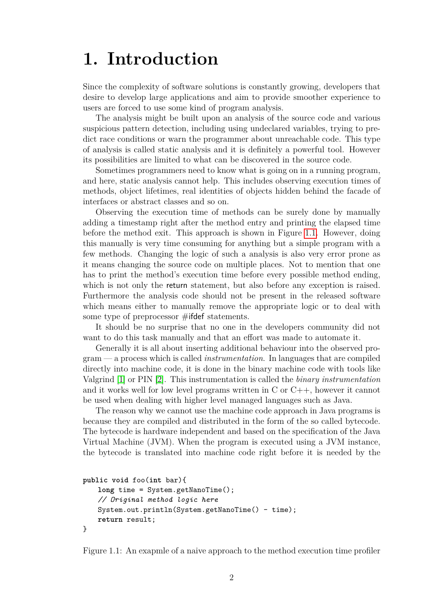# <span id="page-5-0"></span>**1. Introduction**

Since the complexity of software solutions is constantly growing, developers that desire to develop large applications and aim to provide smoother experience to users are forced to use some kind of program analysis.

The analysis might be built upon an analysis of the source code and various suspicious pattern detection, including using undeclared variables, trying to predict race conditions or warn the programmer about unreachable code. This type of analysis is called static analysis and it is definitely a powerful tool. However its possibilities are limited to what can be discovered in the source code.

Sometimes programmers need to know what is going on in a running program, and here, static analysis cannot help. This includes observing execution times of methods, object lifetimes, real identities of objects hidden behind the facade of interfaces or abstract classes and so on.

Observing the execution time of methods can be surely done by manually adding a timestamp right after the method entry and printing the elapsed time before the method exit. This approach is shown in Figure [1.1.](#page-5-1) However, doing this manually is very time consuming for anything but a simple program with a few methods. Changing the logic of such a analysis is also very error prone as it means changing the source code on multiple places. Not to mention that one has to print the method's execution time before every possible method ending, which is not only the return statement, but also before any exception is raised. Furthermore the analysis code should not be present in the released software which means either to manually remove the appropriate logic or to deal with some type of preprocessor  $\#$ ifdef statements.

It should be no surprise that no one in the developers community did not want to do this task manually and that an effort was made to automate it.

Generally it is all about inserting additional behaviour into the observed program — a process which is called *instrumentation*. In languages that are compiled directly into machine code, it is done in the binary machine code with tools like Valgrind [\[1\]](#page-37-1) or PIN [\[2\]](#page-37-2). This instrumentation is called the *binary instrumentation* and it works well for low level programs written in C or C++, however it cannot be used when dealing with higher level managed languages such as Java.

The reason why we cannot use the machine code approach in Java programs is because they are compiled and distributed in the form of the so called bytecode. The bytecode is hardware independent and based on the specification of the Java Virtual Machine (JVM). When the program is executed using a JVM instance, the bytecode is translated into machine code right before it is needed by the

```
public void foo(int bar){
   long time = System.getNanoTime();
   // Original method logic here
   System.out.println(System.getNanoTime() - time);
   return result;
}
```
<span id="page-5-1"></span>Figure 1.1: An exapmle of a naive approach to the method execution time profiler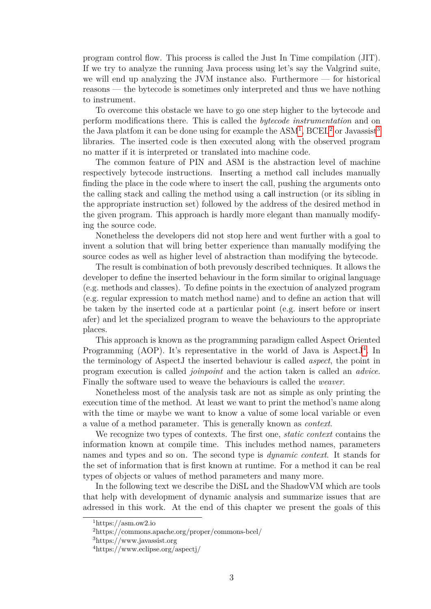program control flow. This process is called the Just In Time compilation (JIT). If we try to analyze the running Java process using let's say the Valgrind suite, we will end up analyzing the JVM instance also. Furthermore — for historical reasons — the bytecode is sometimes only interpreted and thus we have nothing to instrument.

To overcome this obstacle we have to go one step higher to the bytecode and perform modifications there. This is called the *bytecode instrumentation* and on the Java platfom it can be done using for example the  $\text{ASM}^1$  $\text{ASM}^1$ ,  $\text{BCEL}^2$  $\text{BCEL}^2$  or Javassist<sup>[3](#page-6-2)</sup> libraries. The inserted code is then executed along with the observed program no matter if it is interpreted or translated into machine code.

The common feature of PIN and ASM is the abstraction level of machine respectively bytecode instructions. Inserting a method call includes manually finding the place in the code where to insert the call, pushing the arguments onto the calling stack and calling the method using a call instruction (or its sibling in the appropriate instruction set) followed by the address of the desired method in the given program. This approach is hardly more elegant than manually modifying the source code.

Nonetheless the developers did not stop here and went further with a goal to invent a solution that will bring better experience than manually modifying the source codes as well as higher level of abstraction than modifying the bytecode.

The result is combination of both prevously described techniques. It allows the developer to define the inserted behaviour in the form similar to original language (e.g. methods and classes). To define points in the exectuion of analyzed program (e.g. regular expression to match method name) and to define an action that will be taken by the inserted code at a particular point (e.g. insert before or insert afer) and let the specialized program to weave the behaviours to the appropriate places.

This approach is known as the programming paradigm called Aspect Oriented Programming (AOP). It's representative in the world of Java is AspectJ<sup>[4](#page-6-3)</sup>. In the terminology of AspectJ the inserted behaviour is called *aspect*, the point in program execution is called *joinpoint* and the action taken is called an *advice*. Finally the software used to weave the behaviours is called the *weaver*.

Nonetheless most of the analysis task are not as simple as only printing the execution time of the method. At least we want to print the method's name along with the time or maybe we want to know a value of some local variable or even a value of a method parameter. This is generally known as *context*.

We recognize two types of contexts. The first one, *static context* contains the information known at compile time. This includes method names, parameters names and types and so on. The second type is *dynamic context*. It stands for the set of information that is first known at runtime. For a method it can be real types of objects or values of method parameters and many more.

In the following text we describe the DiSL and the ShadowVM which are tools that help with development of dynamic analysis and summarize issues that are adressed in this work. At the end of this chapter we present the goals of this

<span id="page-6-0"></span> $1$ https://asm.ow2.io

<span id="page-6-1"></span><sup>2</sup>https://commons.apache.org/proper/commons-bcel/

<span id="page-6-2"></span><sup>3</sup>https://www.javassist.org

<span id="page-6-3"></span><sup>4</sup>https://www.eclipse.org/aspectj/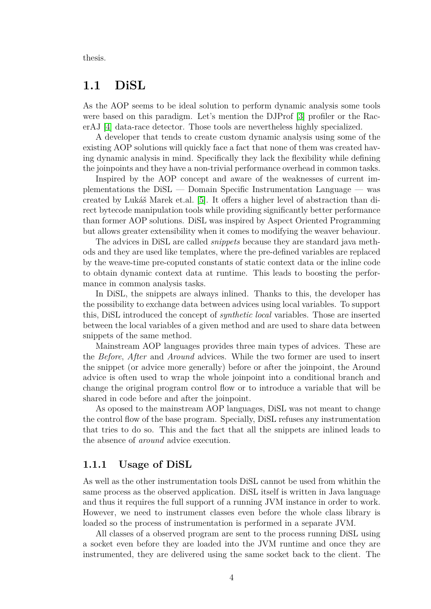thesis.

## <span id="page-7-0"></span>**1.1 DiSL**

As the AOP seems to be ideal solution to perform dynamic analysis some tools were based on this paradigm. Let's mention the DJProf [\[3\]](#page-37-3) profiler or the RacerAJ [\[4\]](#page-37-4) data-race detector. Those tools are nevertheless highly specialized.

A developer that tends to create custom dynamic analysis using some of the existing AOP solutions will quickly face a fact that none of them was created having dynamic analysis in mind. Specifically they lack the flexibility while defining the joinpoints and they have a non-trivial performance overhead in common tasks.

Inspired by the AOP concept and aware of the weaknesses of current implementations the  $\text{DiSL}$  — Domain Specific Instrumentation Language — was created by Lukáš Marek et.al.  $[5]$ . It offers a higher level of abstraction than direct bytecode manipulation tools while providing significantly better performance than former AOP solutions. DiSL was inspired by Aspect Oriented Programming but allows greater extensibility when it comes to modifying the weaver behaviour.

The advices in DiSL are called *snippets* because they are standard java methods and they are used like templates, where the pre-defined variables are replaced by the weave-time pre-coputed constants of static context data or the inline code to obtain dynamic context data at runtime. This leads to boosting the performance in common analysis tasks.

In DiSL, the snippets are always inlined. Thanks to this, the developer has the possibility to exchange data between advices using local variables. To support this, DiSL introduced the concept of *synthetic local* variables. Those are inserted between the local variables of a given method and are used to share data between snippets of the same method.

Mainstream AOP languages provides three main types of advices. These are the *Before*, *After* and *Around* advices. While the two former are used to insert the snippet (or advice more generally) before or after the joinpoint, the Around advice is often used to wrap the whole joinpoint into a conditional branch and change the original program control flow or to introduce a variable that will be shared in code before and after the joinpoint.

As oposed to the mainstream AOP languages, DiSL was not meant to change the control flow of the base program. Specially, DiSL refuses any instrumentation that tries to do so. This and the fact that all the snippets are inlined leads to the absence of *around* advice execution.

#### <span id="page-7-1"></span>**1.1.1 Usage of DiSL**

As well as the other instrumentation tools DiSL cannot be used from whithin the same process as the observed application. DiSL itself is written in Java language and thus it requires the full support of a running JVM instance in order to work. However, we need to instrument classes even before the whole class library is loaded so the process of instrumentation is performed in a separate JVM.

All classes of a observed program are sent to the process running DiSL using a socket even before they are loaded into the JVM runtime and once they are instrumented, they are delivered using the same socket back to the client. The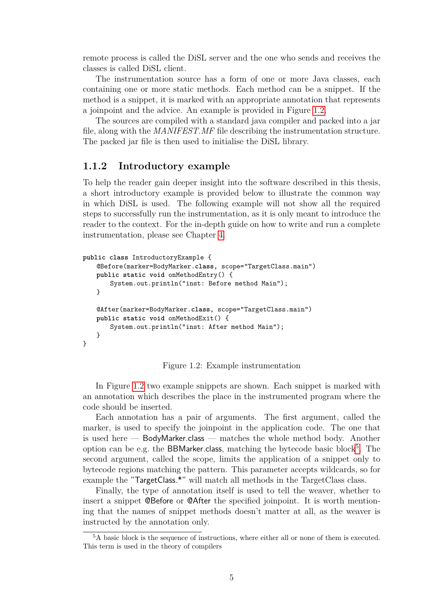remote process is called the DiSL server and the one who sends and receives the classes is called DiSL client.

The instrumentation source has a form of one or more Java classes, each containing one or more static methods. Each method can be a snippet. If the method is a snippet, it is marked with an appropriate annotation that represents a joinpoint and the advice. An example is provided in Figure [1.2.](#page-8-1)

The sources are compiled with a standard java compiler and packed into a jar file, along with the *MANIFEST.MF* file describing the instrumentation structure. The packed jar file is then used to initialise the DiSL library.

#### <span id="page-8-0"></span>**1.1.2 Introductory example**

To help the reader gain deeper insight into the software described in this thesis, a short introductory example is provided below to illustrate the common way in which DiSL is used. The following example will not show all the required steps to successfully run the instrumentation, as it is only meant to introduce the reader to the context. For the in-depth guide on how to write and run a complete instrumentation, please see Chapter [4.](#page-28-0)

```
public class IntroductoryExample {
   @Before(marker=BodyMarker.class, scope="TargetClass.main")
   public static void onMethodEntry() {
       System.out.println("inst: Before method Main");
   }
   @After(marker=BodyMarker.class, scope="TargetClass.main")
   public static void onMethodExit() {
       System.out.println("inst: After method Main");
   }
}
```
<span id="page-8-1"></span>

In Figure [1.2](#page-8-1) two example snippets are shown. Each snippet is marked with an annotation which describes the place in the instrumented program where the code should be inserted.

Each annotation has a pair of arguments. The first argument, called the marker, is used to specify the joinpoint in the application code. The one that is used here — BodyMarker.class — matches the whole method body. Another option can be e.g. the BBMarker.class, matching the bytecode basic block<sup>[5](#page-8-2)</sup>. The second argument, called the scope, limits the application of a snippet only to bytecode regions matching the pattern. This parameter accepts wildcards, so for example the "TargetClass.\*" will match all methods in the TargetClass class.

Finally, the type of annotation itself is used to tell the weaver, whether to insert a snippet @Before or @After the specified joinpoint. It is worth mentioning that the names of snippet methods doesn't matter at all, as the weaver is instructed by the annotation only.

<span id="page-8-2"></span><sup>&</sup>lt;sup>5</sup>A basic block is the sequence of instructions, where either all or none of them is executed. This term is used in the theory of compilers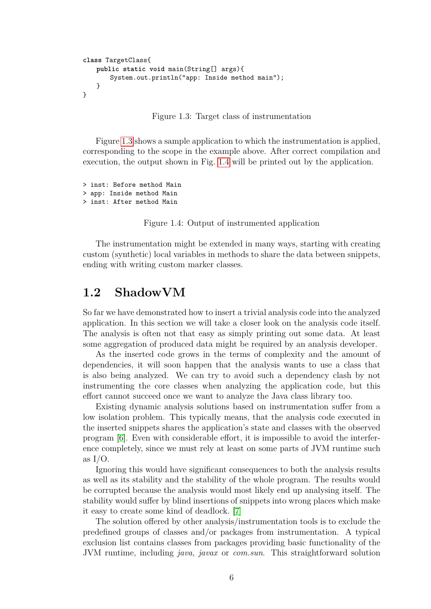```
class TargetClass{
   public static void main(String[] args){
       System.out.println("app: Inside method main");
   }
}
```
<span id="page-9-1"></span>Figure 1.3: Target class of instrumentation

Figure [1.3](#page-9-1) shows a sample application to which the instrumentation is applied, corresponding to the scope in the example above. After correct compilation and execution, the output shown in Fig. [1.4](#page-9-2) will be printed out by the application.

```
> inst: Before method Main
> app: Inside method Main
> inst: After method Main
```
<span id="page-9-2"></span>Figure 1.4: Output of instrumented application

The instrumentation might be extended in many ways, starting with creating custom (synthetic) local variables in methods to share the data between snippets, ending with writing custom marker classes.

### <span id="page-9-0"></span>**1.2 ShadowVM**

So far we have demonstrated how to insert a trivial analysis code into the analyzed application. In this section we will take a closer look on the analysis code itself. The analysis is often not that easy as simply printing out some data. At least some aggregation of produced data might be required by an analysis developer.

As the inserted code grows in the terms of complexity and the amount of dependencies, it will soon happen that the analysis wants to use a class that is also being analyzed. We can try to avoid such a dependency clash by not instrumenting the core classes when analyzing the application code, but this effort cannot succeed once we want to analyze the Java class library too.

Existing dynamic analysis solutions based on instrumentation suffer from a low isolation problem. This typically means, that the analysis code executed in the inserted snippets shares the application's state and classes with the observed program [\[6\]](#page-37-6). Even with considerable effort, it is impossible to avoid the interference completely, since we must rely at least on some parts of JVM runtime such as  $I/O$ .

Ignoring this would have significant consequences to both the analysis results as well as its stability and the stability of the whole program. The results would be corrupted because the analysis would most likely end up analysing itself. The stability would suffer by blind insertions of snippets into wrong places which make it easy to create some kind of deadlock. [\[7\]](#page-37-7)

The solution offered by other analysis/instrumentation tools is to exclude the predefined groups of classes and/or packages from instrumentation. A typical exclusion list contains classes from packages providing basic functionality of the JVM runtime, including *java*, *javax* or *com.sun*. This straightforward solution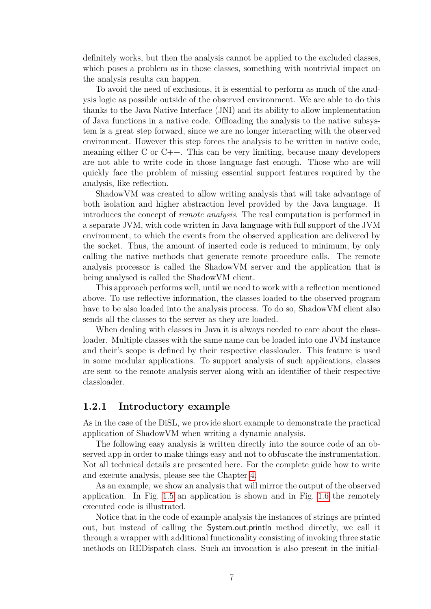definitely works, but then the analysis cannot be applied to the excluded classes, which poses a problem as in those classes, something with nontrivial impact on the analysis results can happen.

To avoid the need of exclusions, it is essential to perform as much of the analysis logic as possible outside of the observed environment. We are able to do this thanks to the Java Native Interface (JNI) and its ability to allow implementation of Java functions in a native code. Offloading the analysis to the native subsystem is a great step forward, since we are no longer interacting with the observed environment. However this step forces the analysis to be written in native code, meaning either C or C++. This can be very limiting, because many developers are not able to write code in those language fast enough. Those who are will quickly face the problem of missing essential support features required by the analysis, like reflection.

ShadowVM was created to allow writing analysis that will take advantage of both isolation and higher abstraction level provided by the Java language. It introduces the concept of *remote analysis*. The real computation is performed in a separate JVM, with code written in Java language with full support of the JVM environment, to which the events from the observed application are delivered by the socket. Thus, the amount of inserted code is reduced to minimum, by only calling the native methods that generate remote procedure calls. The remote analysis processor is called the ShadowVM server and the application that is being analysed is called the ShadowVM client.

This approach performs well, until we need to work with a reflection mentioned above. To use reflective information, the classes loaded to the observed program have to be also loaded into the analysis process. To do so, ShadowVM client also sends all the classes to the server as they are loaded.

When dealing with classes in Java it is always needed to care about the classloader. Multiple classes with the same name can be loaded into one JVM instance and their's scope is defined by their respective classloader. This feature is used in some modular applications. To support analysis of such applications, classes are sent to the remote analysis server along with an identifier of their respective classloader.

#### <span id="page-10-0"></span>**1.2.1 Introductory example**

As in the case of the DiSL, we provide short example to demonstrate the practical application of ShadowVM when writing a dynamic analysis.

The following easy analysis is written directly into the source code of an observed app in order to make things easy and not to obfuscate the instrumentation. Not all technical details are presented here. For the complete guide how to write and execute analysis, please see the Chapter [4.](#page-28-0)

As an example, we show an analysis that will mirror the output of the observed application. In Fig. [1.5](#page-11-0) an application is shown and in Fig. [1.6](#page-11-1) the remotely executed code is illustrated.

Notice that in the code of example analysis the instances of strings are printed out, but instead of calling the System.out.println method directly, we call it through a wrapper with additional functionality consisting of invoking three static methods on REDispatch class. Such an invocation is also present in the initial-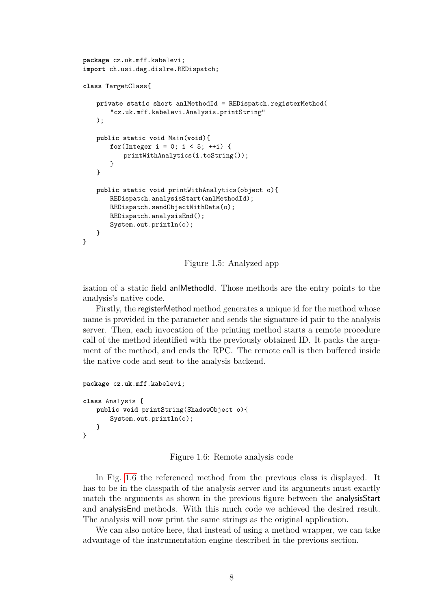```
package cz.uk.mff.kabelevi;
import ch.usi.dag.dislre.REDispatch;
class TargetClass{
   private static short anlMethodId = REDispatch.registerMethod(
       "cz.uk.mff.kabelevi.Analysis.printString"
   );
   public static void Main(void){
       for(Integer i = 0; i < 5; ++i) {
           printWithAnalytics(i.toString());
       }
   }
   public static void printWithAnalytics(object o){
       REDispatch.analysisStart(anlMethodId);
       REDispatch.sendObjectWithData(o);
       REDispatch.analysisEnd();
       System.out.println(o);
   }
}
```
<span id="page-11-0"></span>Figure 1.5: Analyzed app

isation of a static field anlMethodId. Those methods are the entry points to the analysis's native code.

Firstly, the registerMethod method generates a unique id for the method whose name is provided in the parameter and sends the signature-id pair to the analysis server. Then, each invocation of the printing method starts a remote procedure call of the method identified with the previously obtained ID. It packs the argument of the method, and ends the RPC. The remote call is then buffered inside the native code and sent to the analysis backend.

```
package cz.uk.mff.kabelevi;
class Analysis {
   public void printString(ShadowObject o){
       System.out.println(o);
   }
}
```
<span id="page-11-1"></span>Figure 1.6: Remote analysis code

In Fig. [1.6](#page-11-1) the referenced method from the previous class is displayed. It has to be in the classpath of the analysis server and its arguments must exactly match the arguments as shown in the previous figure between the analysisStart and analysisEnd methods. With this much code we achieved the desired result. The analysis will now print the same strings as the original application.

We can also notice here, that instead of using a method wrapper, we can take advantage of the instrumentation engine described in the previous section.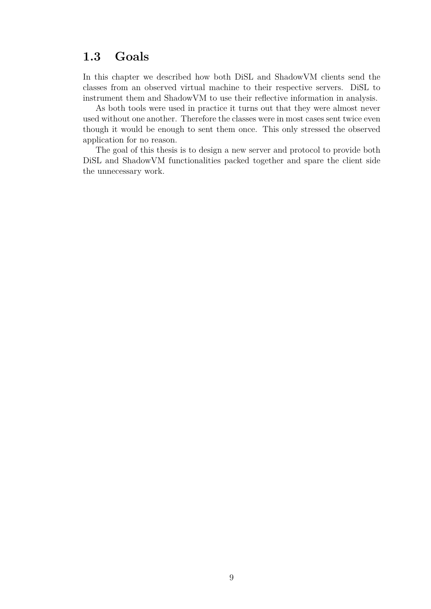# <span id="page-12-0"></span>**1.3 Goals**

In this chapter we described how both DiSL and ShadowVM clients send the classes from an observed virtual machine to their respective servers. DiSL to instrument them and ShadowVM to use their reflective information in analysis.

As both tools were used in practice it turns out that they were almost never used without one another. Therefore the classes were in most cases sent twice even though it would be enough to sent them once. This only stressed the observed application for no reason.

The goal of this thesis is to design a new server and protocol to provide both DiSL and ShadowVM functionalities packed together and spare the client side the unnecessary work.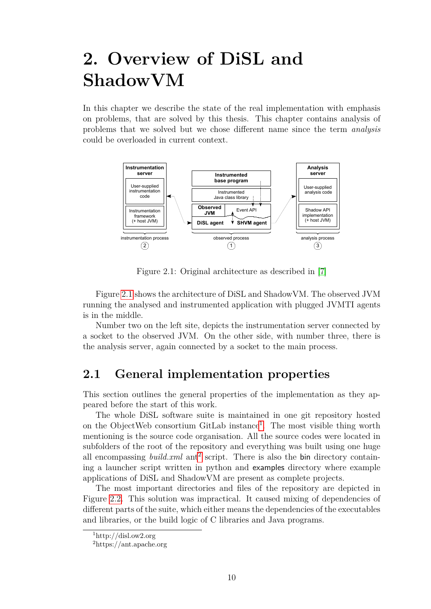# <span id="page-13-0"></span>**2. Overview of DiSL and ShadowVM**

In this chapter we describe the state of the real implementation with emphasis on problems, that are solved by this thesis. This chapter contains analysis of problems that we solved but we chose different name since the term *analysis* could be overloaded in current context.



<span id="page-13-2"></span>Figure 2.1: Original architecture as described in [\[7\]](#page-37-7)

Figure [2.1](#page-13-2) shows the architecture of DiSL and ShadowVM. The observed JVM running the analysed and instrumented application with plugged JVMTI agents is in the middle.

Number two on the left site, depicts the instrumentation server connected by a socket to the observed JVM. On the other side, with number three, there is the analysis server, again connected by a socket to the main process.

## <span id="page-13-1"></span>**2.1 General implementation properties**

This section outlines the general properties of the implementation as they appeared before the start of this work.

The whole DiSL software suite is maintained in one git repository hosted on the ObjectWeb consortium GitLab instance[1](#page-13-3) . The most visible thing worth mentioning is the source code organisation. All the source codes were located in subfolders of the root of the repository and everything was built using one huge all encompassing *build.xml* ant<sup>[2](#page-13-4)</sup> script. There is also the bin directory containing a launcher script written in python and examples directory where example applications of DiSL and ShadowVM are present as complete projects.

The most important directories and files of the repository are depicted in Figure [2.2.](#page-14-0) This solution was impractical. It caused mixing of dependencies of different parts of the suite, which either means the dependencies of the executables and libraries, or the build logic of C libraries and Java programs.

<span id="page-13-3"></span> $1$ http://disl.ow2.org

<span id="page-13-4"></span><sup>2</sup>https://ant.apache.org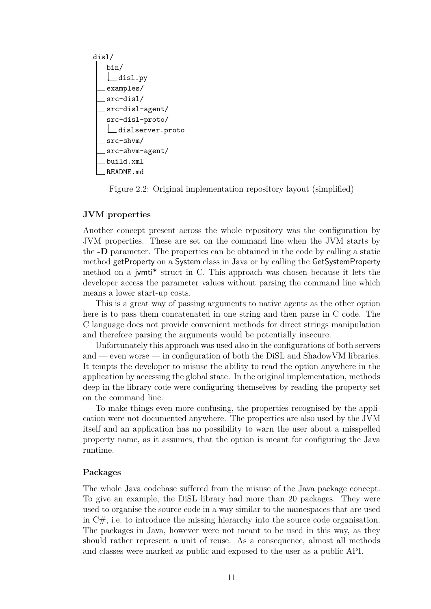disl/ bin/ disl.py examples/ src-disl/ src-disl-agent/ src-disl-proto/ dislserver.proto src-shvm/ src-shvm-agent/ build.xml README.md

<span id="page-14-0"></span>Figure 2.2: Original implementation repository layout (simplified)

#### **JVM properties**

Another concept present across the whole repository was the configuration by JVM properties. These are set on the command line when the JVM starts by the **-D** parameter. The properties can be obtained in the code by calling a static method getProperty on a System class in Java or by calling the GetSystemProperty method on a jvmti\* struct in C. This approach was chosen because it lets the developer access the parameter values without parsing the command line which means a lower start-up costs.

This is a great way of passing arguments to native agents as the other option here is to pass them concatenated in one string and then parse in C code. The C language does not provide convenient methods for direct strings manipulation and therefore parsing the arguments would be potentially insecure.

Unfortunately this approach was used also in the configurations of both servers and — even worse — in configuration of both the DiSL and ShadowVM libraries. It tempts the developer to misuse the ability to read the option anywhere in the application by accessing the global state. In the original implementation, methods deep in the library code were configuring themselves by reading the property set on the command line.

To make things even more confusing, the properties recognised by the application were not documented anywhere. The properties are also used by the JVM itself and an application has no possibility to warn the user about a misspelled property name, as it assumes, that the option is meant for configuring the Java runtime.

#### **Packages**

The whole Java codebase suffered from the misuse of the Java package concept. To give an example, the DiSL library had more than 20 packages. They were used to organise the source code in a way similar to the namespaces that are used in C#, i.e. to introduce the missing hierarchy into the source code organisation. The packages in Java, however were not meant to be used in this way, as they should rather represent a unit of reuse. As a consequence, almost all methods and classes were marked as public and exposed to the user as a public API.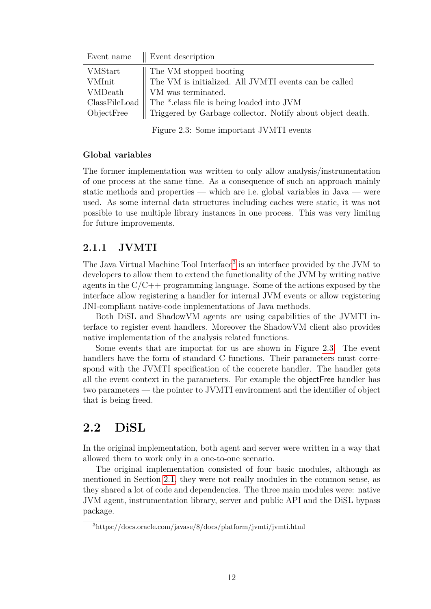|         | Event name $\parallel$ Event description                                                                                                                                                                                                    |
|---------|---------------------------------------------------------------------------------------------------------------------------------------------------------------------------------------------------------------------------------------------|
| VMStart |                                                                                                                                                                                                                                             |
| VMInit  | $\begin{array}{ l } \hline \text{The VM stopped booting} \\ \hline \text{The VM is initialized. All JVMTI events can be called} \hline \end{array}$                                                                                         |
|         |                                                                                                                                                                                                                                             |
|         |                                                                                                                                                                                                                                             |
|         | $\begin{tabular}{c} VMDeath \\ ClassFileLoad \\ ObjectFree \\ \end{tabular} \begin{tabular}{c} VM was terminated. \\ The *.class file is being loaded into JVM \\ Triggered by Garbage collector. Notify about object death. \end{tabular}$ |
|         |                                                                                                                                                                                                                                             |

<span id="page-15-3"></span>Figure 2.3: Some important JVMTI events

#### **Global variables**

The former implementation was written to only allow analysis/instrumentation of one process at the same time. As a consequence of such an approach mainly static methods and properties — which are i.e. global variables in Java — were used. As some internal data structures including caches were static, it was not possible to use multiple library instances in one process. This was very limitng for future improvements.

#### <span id="page-15-0"></span>**2.1.1 JVMTI**

The Java Virtual Machine Tool Interface<sup>[3](#page-15-2)</sup> is an interface provided by the JVM to developers to allow them to extend the functionality of the JVM by writing native agents in the  $C/C++$  programming language. Some of the actions exposed by the interface allow registering a handler for internal JVM events or allow registering JNI-compliant native-code implementations of Java methods.

Both DiSL and ShadowVM agents are using capabilities of the JVMTI interface to register event handlers. Moreover the ShadowVM client also provides native implementation of the analysis related functions.

Some events that are importat for us are shown in Figure [2.3.](#page-15-3) The event handlers have the form of standard C functions. Their parameters must correspond with the JVMTI specification of the concrete handler. The handler gets all the event context in the parameters. For example the objectFree handler has two parameters — the pointer to JVMTI environment and the identifier of object that is being freed.

### <span id="page-15-1"></span>**2.2 DiSL**

In the original implementation, both agent and server were written in a way that allowed them to work only in a one-to-one scenario.

The original implementation consisted of four basic modules, although as mentioned in Section [2.1,](#page-13-1) they were not really modules in the common sense, as they shared a lot of code and dependencies. The three main modules were: native JVM agent, instrumentation library, server and public API and the DiSL bypass package.

<span id="page-15-2"></span><sup>3</sup>https://docs.oracle.com/javase/8/docs/platform/jvmti/jvmti.html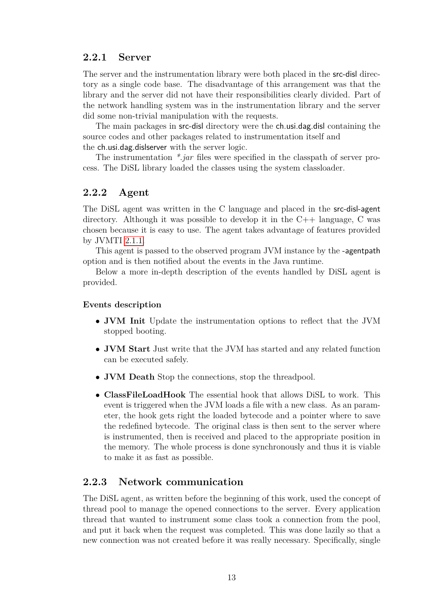#### <span id="page-16-0"></span>**2.2.1 Server**

The server and the instrumentation library were both placed in the src-disl directory as a single code base. The disadvantage of this arrangement was that the library and the server did not have their responsibilities clearly divided. Part of the network handling system was in the instrumentation library and the server did some non-trivial manipulation with the requests.

The main packages in src-disl directory were the ch.usi.dag.disl containing the source codes and other packages related to instrumentation itself and the ch.usi.dag.dislserver with the server logic.

The instrumentation *\*.jar* files were specified in the classpath of server process. The DiSL library loaded the classes using the system classloader.

### <span id="page-16-1"></span>**2.2.2 Agent**

The DiSL agent was written in the C language and placed in the src-disl-agent directory. Although it was possible to develop it in the  $C++$  language, C was chosen because it is easy to use. The agent takes advantage of features provided by JVMTI [2.1.1.](#page-15-0)

This agent is passed to the observed program JVM instance by the -agentpath option and is then notified about the events in the Java runtime.

Below a more in-depth description of the events handled by DiSL agent is provided.

#### **Events description**

- **JVM Init** Update the instrumentation options to reflect that the JVM stopped booting.
- **JVM Start** Just write that the JVM has started and any related function can be executed safely.
- **JVM Death** Stop the connections, stop the threadpool.
- **ClassFileLoadHook** The essential hook that allows DiSL to work. This event is triggered when the JVM loads a file with a new class. As an parameter, the hook gets right the loaded bytecode and a pointer where to save the redefined bytecode. The original class is then sent to the server where is instrumented, then is received and placed to the appropriate position in the memory. The whole process is done synchronously and thus it is viable to make it as fast as possible.

### <span id="page-16-2"></span>**2.2.3 Network communication**

The DiSL agent, as written before the beginning of this work, used the concept of thread pool to manage the opened connections to the server. Every application thread that wanted to instrument some class took a connection from the pool, and put it back when the request was completed. This was done lazily so that a new connection was not created before it was really necessary. Specifically, single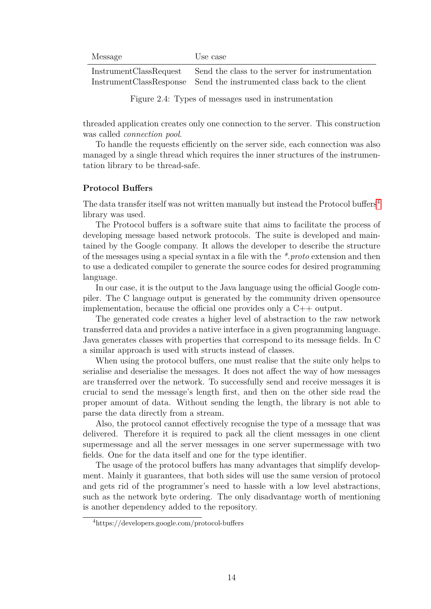| Message                | Use case                                                                                                                    |
|------------------------|-----------------------------------------------------------------------------------------------------------------------------|
| InstrumentClassRequest | Send the class to the server for instrumentation<br>Instrument ClassResponse Send the instrumented class back to the client |

Figure 2.4: Types of messages used in instrumentation

threaded application creates only one connection to the server. This construction was called *connection pool*.

To handle the requests efficiently on the server side, each connection was also managed by a single thread which requires the inner structures of the instrumentation library to be thread-safe.

#### <span id="page-17-1"></span>**Protocol Buffers**

The data transfer itself was not written manually but instead the Protocol buffers<sup>[4](#page-17-0)</sup> library was used.

The Protocol buffers is a software suite that aims to facilitate the process of developing message based network protocols. The suite is developed and maintained by the Google company. It allows the developer to describe the structure of the messages using a special syntax in a file with the *\*.proto* extension and then to use a dedicated compiler to generate the source codes for desired programming language.

In our case, it is the output to the Java language using the official Google compiler. The C language output is generated by the community driven opensource implementation, because the official one provides only a C++ output.

The generated code creates a higher level of abstraction to the raw network transferred data and provides a native interface in a given programming language. Java generates classes with properties that correspond to its message fields. In C a similar approach is used with structs instead of classes.

When using the protocol buffers, one must realise that the suite only helps to serialise and deserialise the messages. It does not affect the way of how messages are transferred over the network. To successfully send and receive messages it is crucial to send the message's length first, and then on the other side read the proper amount of data. Without sending the length, the library is not able to parse the data directly from a stream.

Also, the protocol cannot effectively recognise the type of a message that was delivered. Therefore it is required to pack all the client messages in one client supermessage and all the server messages in one server supermessage with two fields. One for the data itself and one for the type identifier.

The usage of the protocol buffers has many advantages that simplify development. Mainly it guarantees, that both sides will use the same version of protocol and gets rid of the programmer's need to hassle with a low level abstractions, such as the network byte ordering. The only disadvantage worth of mentioning is another dependency added to the repository.

<span id="page-17-0"></span><sup>4</sup>https://developers.google.com/protocol-buffers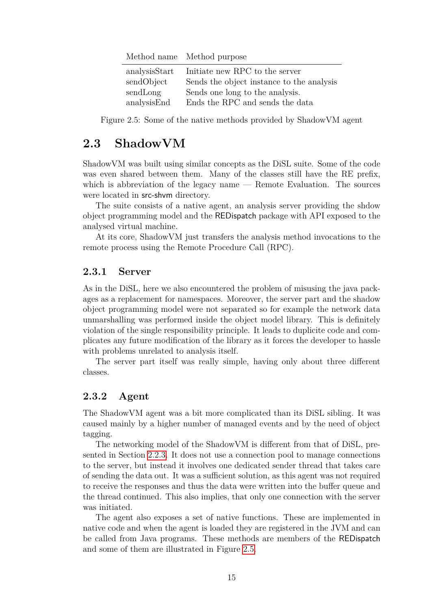Method name Method purpose

| analysisStart | Initiate new RPC to the server            |
|---------------|-------------------------------------------|
| sendObject    | Sends the object instance to the analysis |
| sendLong      | Sends one long to the analysis.           |
| analysisEnd   | Ends the RPC and sends the data           |

<span id="page-18-3"></span>Figure 2.5: Some of the native methods provided by ShadowVM agent

### <span id="page-18-0"></span>**2.3 ShadowVM**

ShadowVM was built using similar concepts as the DiSL suite. Some of the code was even shared between them. Many of the classes still have the RE prefix, which is abbreviation of the legacy name — Remote Evaluation. The sources were located in src-shvm directory.

The suite consists of a native agent, an analysis server providing the shdow object programming model and the REDispatch package with API exposed to the analysed virtual machine.

At its core, ShadowVM just transfers the analysis method invocations to the remote process using the Remote Procedure Call (RPC).

#### <span id="page-18-1"></span>**2.3.1 Server**

As in the DiSL, here we also encountered the problem of misusing the java packages as a replacement for namespaces. Moreover, the server part and the shadow object programming model were not separated so for example the network data unmarshalling was performed inside the object model library. This is definitely violation of the single responsibility principle. It leads to duplicite code and complicates any future modification of the library as it forces the developer to hassle with problems unrelated to analysis itself.

The server part itself was really simple, having only about three different classes.

#### <span id="page-18-2"></span>**2.3.2 Agent**

The ShadowVM agent was a bit more complicated than its DiSL sibling. It was caused mainly by a higher number of managed events and by the need of object tagging.

The networking model of the ShadowVM is different from that of DiSL, presented in Section [2.2.3.](#page-16-2) It does not use a connection pool to manage connections to the server, but instead it involves one dedicated sender thread that takes care of sending the data out. It was a sufficient solution, as this agent was not required to receive the responses and thus the data were written into the buffer queue and the thread continued. This also implies, that only one connection with the server was initiated.

The agent also exposes a set of native functions. These are implemented in native code and when the agent is loaded they are registered in the JVM and can be called from Java programs. These methods are members of the REDispatch and some of them are illustrated in Figure [2.5.](#page-18-3)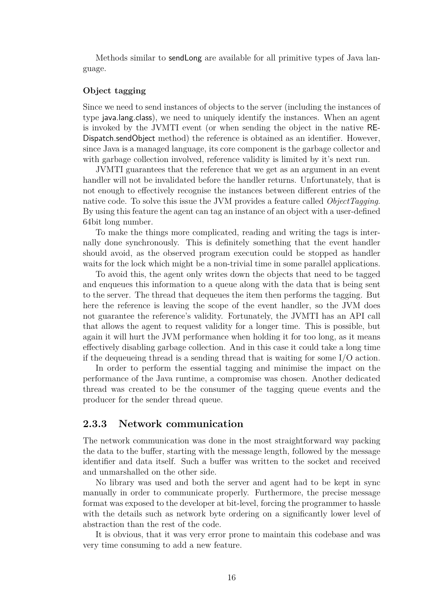Methods similar to sendLong are available for all primitive types of Java language.

#### **Object tagging**

Since we need to send instances of objects to the server (including the instances of type java.lang.class), we need to uniquely identify the instances. When an agent is invoked by the JVMTI event (or when sending the object in the native RE-Dispatch.sendObject method) the reference is obtained as an identifier. However, since Java is a managed language, its core component is the garbage collector and with garbage collection involved, reference validity is limited by it's next run.

JVMTI guarantees that the reference that we get as an argument in an event handler will not be invalidated before the handler returns. Unfortunately, that is not enough to effectively recognise the instances between different entries of the native code. To solve this issue the JVM provides a feature called *ObjectTagging*. By using this feature the agent can tag an instance of an object with a user-defined 64bit long number.

To make the things more complicated, reading and writing the tags is internally done synchronously. This is definitely something that the event handler should avoid, as the observed program execution could be stopped as handler waits for the lock which might be a non-trivial time in some parallel applications.

To avoid this, the agent only writes down the objects that need to be tagged and enqueues this information to a queue along with the data that is being sent to the server. The thread that dequeues the item then performs the tagging. But here the reference is leaving the scope of the event handler, so the JVM does not guarantee the reference's validity. Fortunately, the JVMTI has an API call that allows the agent to request validity for a longer time. This is possible, but again it will hurt the JVM performance when holding it for too long, as it means effectively disabling garbage collection. And in this case it could take a long time if the dequeueing thread is a sending thread that is waiting for some  $I/O$  action.

In order to perform the essential tagging and minimise the impact on the performance of the Java runtime, a compromise was chosen. Another dedicated thread was created to be the consumer of the tagging queue events and the producer for the sender thread queue.

#### <span id="page-19-0"></span>**2.3.3 Network communication**

The network communication was done in the most straightforward way packing the data to the buffer, starting with the message length, followed by the message identifier and data itself. Such a buffer was written to the socket and received and unmarshalled on the other side.

No library was used and both the server and agent had to be kept in sync manually in order to communicate properly. Furthermore, the precise message format was exposed to the developer at bit-level, forcing the programmer to hassle with the details such as network byte ordering on a significantly lower level of abstraction than the rest of the code.

It is obvious, that it was very error prone to maintain this codebase and was very time consuming to add a new feature.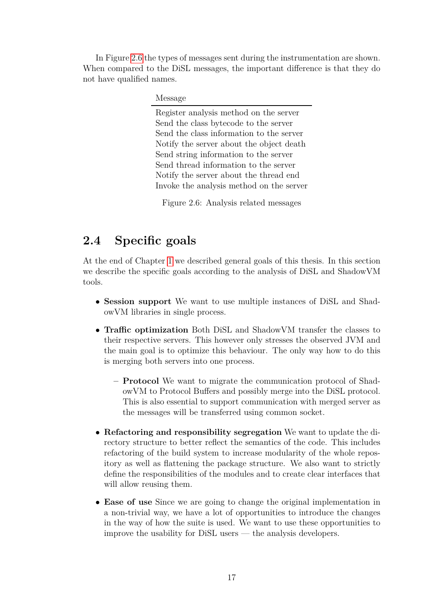In Figure [2.6](#page-20-1) the types of messages sent during the instrumentation are shown. When compared to the DiSL messages, the important difference is that they do not have qualified names.

#### Message

Register analysis method on the server Send the class bytecode to the server Send the class information to the server Notify the server about the object death Send string information to the server Send thread information to the server Notify the server about the thread end Invoke the analysis method on the server

<span id="page-20-1"></span>Figure 2.6: Analysis related messages

# <span id="page-20-0"></span>**2.4 Specific goals**

At the end of Chapter [1](#page-5-0) we described general goals of this thesis. In this section we describe the specific goals according to the analysis of DiSL and ShadowVM tools.

- **Session support** We want to use multiple instances of DiSL and ShadowVM libraries in single process.
- **Traffic optimization** Both DiSL and ShadowVM transfer the classes to their respective servers. This however only stresses the observed JVM and the main goal is to optimize this behaviour. The only way how to do this is merging both servers into one process.
	- **– Protocol** We want to migrate the communication protocol of ShadowVM to Protocol Buffers and possibly merge into the DiSL protocol. This is also essential to support communication with merged server as the messages will be transferred using common socket.
- **Refactoring and responsibility segregation** We want to update the directory structure to better reflect the semantics of the code. This includes refactoring of the build system to increase modularity of the whole repository as well as flattening the package structure. We also want to strictly define the responsibilities of the modules and to create clear interfaces that will allow reusing them.
- **Ease of use** Since we are going to change the original implementation in a non-trivial way, we have a lot of opportunities to introduce the changes in the way of how the suite is used. We want to use these opportunities to improve the usability for DiSL users — the analysis developers.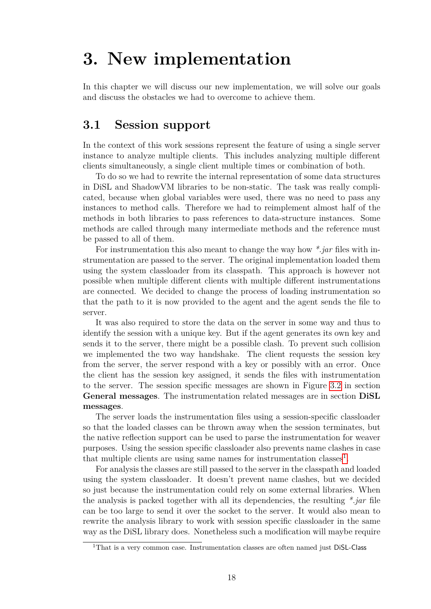# <span id="page-21-0"></span>**3. New implementation**

In this chapter we will discuss our new implementation, we will solve our goals and discuss the obstacles we had to overcome to achieve them.

## <span id="page-21-1"></span>**3.1 Session support**

In the context of this work sessions represent the feature of using a single server instance to analyze multiple clients. This includes analyzing multiple different clients simultaneously, a single client multiple times or combination of both.

To do so we had to rewrite the internal representation of some data structures in DiSL and ShadowVM libraries to be non-static. The task was really complicated, because when global variables were used, there was no need to pass any instances to method calls. Therefore we had to reimplement almost half of the methods in both libraries to pass references to data-structure instances. Some methods are called through many intermediate methods and the reference must be passed to all of them.

For instrumentation this also meant to change the way how *\*.jar* files with instrumentation are passed to the server. The original implementation loaded them using the system classloader from its classpath. This approach is however not possible when multiple different clients with multiple different instrumentations are connected. We decided to change the process of loading instrumentation so that the path to it is now provided to the agent and the agent sends the file to server.

It was also required to store the data on the server in some way and thus to identify the session with a unique key. But if the agent generates its own key and sends it to the server, there might be a possible clash. To prevent such collision we implemented the two way handshake. The client requests the session key from the server, the server respond with a key or possibly with an error. Once the client has the session key assigned, it sends the files with instrumentation to the server. The session specific messages are shown in Figure [3.2](#page-24-1) in section **General messages**. The instrumentation related messages are in section **DiSL messages**.

The server loads the instrumentation files using a session-specific classloader so that the loaded classes can be thrown away when the session terminates, but the native reflection support can be used to parse the instrumentation for weaver purposes. Using the session specific classloader also prevents name clashes in case that multiple clients are using same names for instrumentation classes<sup>[1](#page-21-2)</sup>.

For analysis the classes are still passed to the server in the classpath and loaded using the system classloader. It doesn't prevent name clashes, but we decided so just because the instrumentation could rely on some external libraries. When the analysis is packed together with all its dependencies, the resulting *\*.jar* file can be too large to send it over the socket to the server. It would also mean to rewrite the analysis library to work with session specific classloader in the same way as the DiSL library does. Nonetheless such a modification will maybe require

<span id="page-21-2"></span><sup>&</sup>lt;sup>1</sup>That is a very common case. Instrumentation classes are often named just DiSL-Class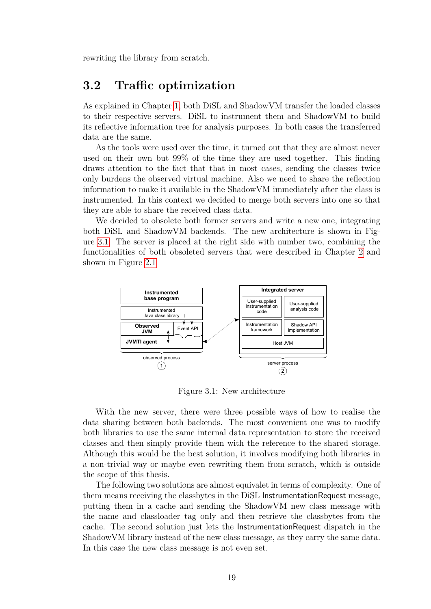rewriting the library from scratch.

### <span id="page-22-0"></span>**3.2 Traffic optimization**

As explained in Chapter [1,](#page-5-0) both DiSL and ShadowVM transfer the loaded classes to their respective servers. DiSL to instrument them and ShadowVM to build its reflective information tree for analysis purposes. In both cases the transferred data are the same.

As the tools were used over the time, it turned out that they are almost never used on their own but 99% of the time they are used together. This finding draws attention to the fact that that in most cases, sending the classes twice only burdens the observed virtual machine. Also we need to share the reflection information to make it available in the ShadowVM immediately after the class is instrumented. In this context we decided to merge both servers into one so that they are able to share the received class data.

We decided to obsolete both former servers and write a new one, integrating both DiSL and ShadowVM backends. The new architecture is shown in Figure [3.1.](#page-22-1) The server is placed at the right side with number two, combining the functionalities of both obsoleted servers that were described in Chapter [2](#page-13-0) and shown in Figure [2.1](#page-13-2)



<span id="page-22-1"></span>Figure 3.1: New architecture

With the new server, there were three possible ways of how to realise the data sharing between both backends. The most convenient one was to modify both libraries to use the same internal data representation to store the received classes and then simply provide them with the reference to the shared storage. Although this would be the best solution, it involves modifying both libraries in a non-trivial way or maybe even rewriting them from scratch, which is outside the scope of this thesis.

The following two solutions are almost equivalet in terms of complexity. One of them means receiving the classbytes in the DiSL InstrumentationRequest message, putting them in a cache and sending the ShadowVM new class message with the name and classloader tag only and then retrieve the classbytes from the cache. The second solution just lets the InstrumentationRequest dispatch in the ShadowVM library instead of the new class message, as they carry the same data. In this case the new class message is not even set.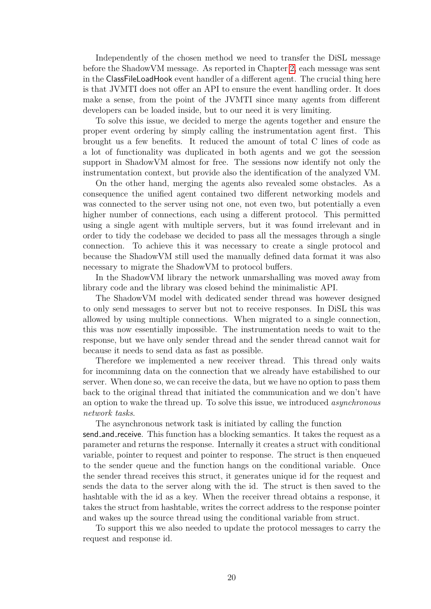Independently of the chosen method we need to transfer the DiSL message before the ShadowVM message. As reported in Chapter [2,](#page-13-0) each message was sent in the ClassFileLoadHook event handler of a different agent. The crucial thing here is that JVMTI does not offer an API to ensure the event handling order. It does make a sense, from the point of the JVMTI since many agents from different developers can be loaded inside, but to our need it is very limiting.

To solve this issue, we decided to merge the agents together and ensure the proper event ordering by simply calling the instrumentation agent first. This brought us a few benefits. It reduced the amount of total C lines of code as a lot of functionality was duplicated in both agents and we got the seession support in ShadowVM almost for free. The sessions now identify not only the instrumentation context, but provide also the identification of the analyzed VM.

On the other hand, merging the agents also revealed some obstacles. As a consequence the unified agent contained two different networking models and was connected to the server using not one, not even two, but potentially a even higher number of connections, each using a different protocol. This permitted using a single agent with multiple servers, but it was found irrelevant and in order to tidy the codebase we decided to pass all the messages through a single connection. To achieve this it was necessary to create a single protocol and because the ShadowVM still used the manually defined data format it was also necessary to migrate the ShadowVM to protocol buffers.

In the ShadowVM library the network unmarshalling was moved away from library code and the library was closed behind the minimalistic API.

The ShadowVM model with dedicated sender thread was however designed to only send messages to server but not to receive responses. In DiSL this was allowed by using multiple connections. When migrated to a single connection, this was now essentially impossible. The instrumentation needs to wait to the response, but we have only sender thread and the sender thread cannot wait for because it needs to send data as fast as possible.

Therefore we implemented a new receiver thread. This thread only waits for incomminng data on the connection that we already have estabilished to our server. When done so, we can receive the data, but we have no option to pass them back to the original thread that initiated the communication and we don't have an option to wake the thread up. To solve this issue, we introduced *asynchronous network tasks*.

The asynchronous network task is initiated by calling the function

send and receive. This function has a blocking semantics. It takes the request as a parameter and returns the response. Internally it creates a struct with conditional variable, pointer to request and pointer to response. The struct is then enqueued to the sender queue and the function hangs on the conditional variable. Once the sender thread receives this struct, it generates unique id for the request and sends the data to the server along with the id. The struct is then saved to the hashtable with the id as a key. When the receiver thread obtains a response, it takes the struct from hashtable, writes the correct address to the response pointer and wakes up the source thread using the conditional variable from struct.

To support this we also needed to update the protocol messages to carry the request and response id.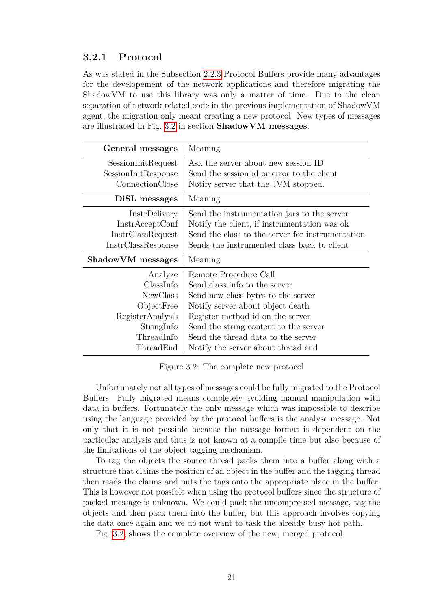### <span id="page-24-0"></span>**3.2.1 Protocol**

As was stated in the Subsection [2.2.3](#page-17-1) Protocol Buffers provide many advantages for the developement of the network applications and therefore migrating the ShadowVM to use this library was only a matter of time. Due to the clean separation of network related code in the previous implementation of ShadowVM agent, the migration only meant creating a new protocol. New types of messages are illustrated in Fig. [3.2](#page-24-1) in section **ShadowVM messages**.

| General messages    | Meaning                                          |
|---------------------|--------------------------------------------------|
| SessionInitRequest  | Ask the server about new session ID              |
| SessionInitResponse | Send the session id or error to the client       |
| ConnectionClose     | Notify server that the JVM stopped.              |
| DiSL messages       | Meaning                                          |
| InstrDelivery       | Send the instrumentation jars to the server      |
| InstrAcceptConf     | Notify the client, if instrumentation was ok     |
| InstrClassRequest   | Send the class to the server for instrumentation |
| InstrClassResponse  | Sends the instrumented class back to client      |
| Shadow VM messages  | Meaning                                          |
| Analyze             | Remote Procedure Call                            |
| ClassInfo           | Send class info to the server                    |
| <b>NewClass</b>     | Send new class bytes to the server               |
| ObjectFree          | Notify server about object death                 |
| RegisterAnalysis    | Register method id on the server                 |
| StringInfo          | Send the string content to the server            |
| ThreadInfo          | Send the thread data to the server               |
| ThreadEnd           | Notify the server about thread end               |

<span id="page-24-1"></span>Figure 3.2: The complete new protocol

Unfortunately not all types of messages could be fully migrated to the Protocol Buffers. Fully migrated means completely avoiding manual manipulation with data in buffers. Fortunately the only message which was impossible to describe using the language provided by the protocol buffers is the analyse message. Not only that it is not possible because the message format is dependent on the particular analysis and thus is not known at a compile time but also because of the limitations of the object tagging mechanism.

To tag the objects the source thread packs them into a buffer along with a structure that claims the position of an object in the buffer and the tagging thread then reads the claims and puts the tags onto the appropriate place in the buffer. This is however not possible when using the protocol buffers since the structure of packed message is unknown. We could pack the uncompressed message, tag the objects and then pack them into the buffer, but this approach involves copying the data once again and we do not want to task the already busy hot path.

Fig. [3.2,](#page-24-1) shows the complete overview of the new, merged protocol.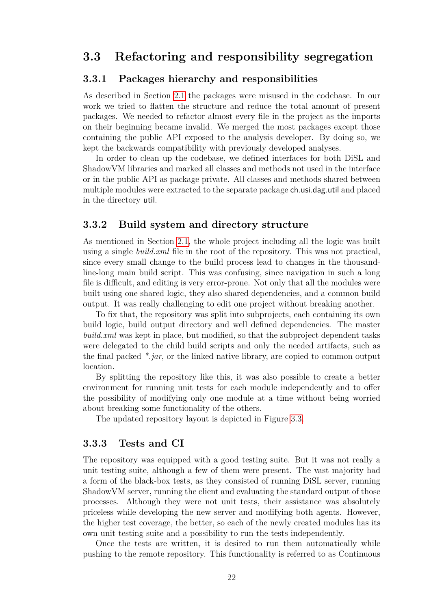# <span id="page-25-0"></span>**3.3 Refactoring and responsibility segregation**

#### <span id="page-25-1"></span>**3.3.1 Packages hierarchy and responsibilities**

As described in Section [2.1](#page-13-1) the packages were misused in the codebase. In our work we tried to flatten the structure and reduce the total amount of present packages. We needed to refactor almost every file in the project as the imports on their beginning became invalid. We merged the most packages except those containing the public API exposed to the analysis developer. By doing so, we kept the backwards compatibility with previously developed analyses.

In order to clean up the codebase, we defined interfaces for both DiSL and ShadowVM libraries and marked all classes and methods not used in the interface or in the public API as package private. All classes and methods shared between multiple modules were extracted to the separate package ch.usi.dag.util and placed in the directory util.

#### <span id="page-25-2"></span>**3.3.2 Build system and directory structure**

As mentioned in Section [2.1,](#page-13-1) the whole project including all the logic was built using a single *build.xml* file in the root of the repository. This was not practical, since every small change to the build process lead to changes in the thousandline-long main build script. This was confusing, since navigation in such a long file is difficult, and editing is very error-prone. Not only that all the modules were built using one shared logic, they also shared dependencies, and a common build output. It was really challenging to edit one project without breaking another.

To fix that, the repository was split into subprojects, each containing its own build logic, build output directory and well defined dependencies. The master *build.xml* was kept in place, but modified, so that the subproject dependent tasks were delegated to the child build scripts and only the needed artifacts, such as the final packed *\*.jar*, or the linked native library, are copied to common output location.

By splitting the repository like this, it was also possible to create a better environment for running unit tests for each module independently and to offer the possibility of modifying only one module at a time without being worried about breaking some functionality of the others.

The updated repository layout is depicted in Figure [3.3.](#page-26-1)

#### <span id="page-25-3"></span>**3.3.3 Tests and CI**

The repository was equipped with a good testing suite. But it was not really a unit testing suite, although a few of them were present. The vast majority had a form of the black-box tests, as they consisted of running DiSL server, running ShadowVM server, running the client and evaluating the standard output of those processes. Although they were not unit tests, their assistance was absolutely priceless while developing the new server and modifying both agents. However, the higher test coverage, the better, so each of the newly created modules has its own unit testing suite and a possibility to run the tests independently.

Once the tests are written, it is desired to run them automatically while pushing to the remote repository. This functionality is referred to as Continuous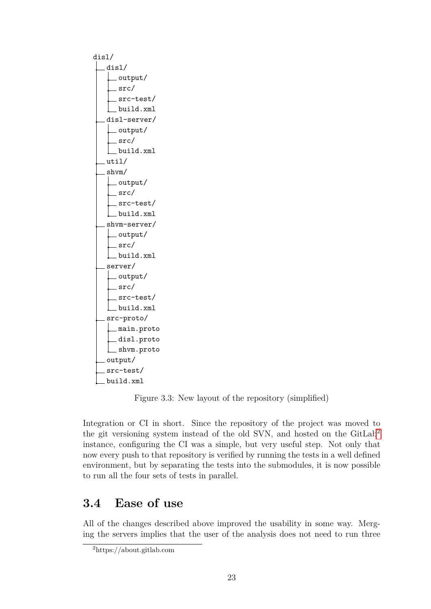

<span id="page-26-1"></span>Figure 3.3: New layout of the repository (simplified)

Integration or CI in short. Since the repository of the project was moved to the git versioning system instead of the old SVN, and hosted on the GitLab[2](#page-26-2) instance, configuring the CI was a simple, but very useful step. Not only that now every push to that repository is verified by running the tests in a well defined environment, but by separating the tests into the submodules, it is now possible to run all the four sets of tests in parallel.

## <span id="page-26-0"></span>**3.4 Ease of use**

All of the changes described above improved the usability in some way. Merging the servers implies that the user of the analysis does not need to run three

<span id="page-26-2"></span><sup>2</sup>https://about.gitlab.com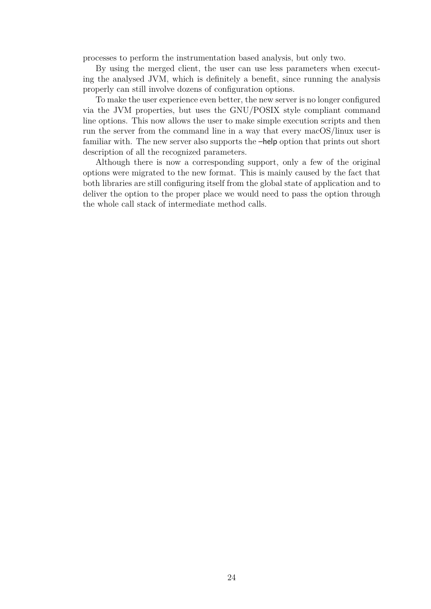processes to perform the instrumentation based analysis, but only two.

By using the merged client, the user can use less parameters when executing the analysed JVM, which is definitely a benefit, since running the analysis properly can still involve dozens of configuration options.

To make the user experience even better, the new server is no longer configured via the JVM properties, but uses the GNU/POSIX style compliant command line options. This now allows the user to make simple execution scripts and then run the server from the command line in a way that every macOS/linux user is familiar with. The new server also supports the –help option that prints out short description of all the recognized parameters.

Although there is now a corresponding support, only a few of the original options were migrated to the new format. This is mainly caused by the fact that both libraries are still configuring itself from the global state of application and to deliver the option to the proper place we would need to pass the option through the whole call stack of intermediate method calls.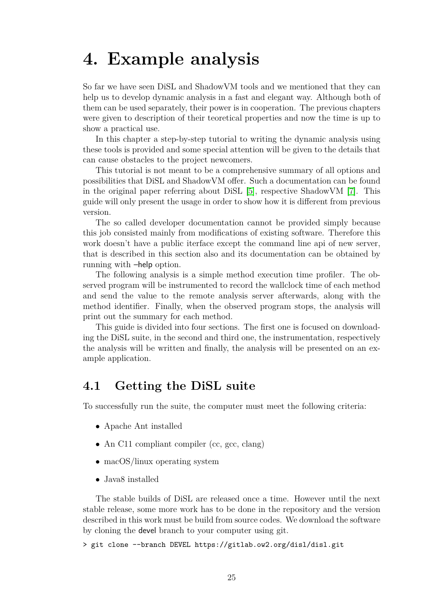# <span id="page-28-0"></span>**4. Example analysis**

So far we have seen DiSL and ShadowVM tools and we mentioned that they can help us to develop dynamic analysis in a fast and elegant way. Although both of them can be used separately, their power is in cooperation. The previous chapters were given to description of their teoretical properties and now the time is up to show a practical use.

In this chapter a step-by-step tutorial to writing the dynamic analysis using these tools is provided and some special attention will be given to the details that can cause obstacles to the project newcomers.

This tutorial is not meant to be a comprehensive summary of all options and possibilities that DiSL and ShadowVM offer. Such a documentation can be found in the original paper referring about DiSL [\[5\]](#page-37-5), respective ShadowVM [\[7\]](#page-37-7). This guide will only present the usage in order to show how it is different from previous version.

The so called developer documentation cannot be provided simply because this job consisted mainly from modifications of existing software. Therefore this work doesn't have a public iterface except the command line api of new server, that is described in this section also and its documentation can be obtained by running with –help option.

The following analysis is a simple method execution time profiler. The observed program will be instrumented to record the wallclock time of each method and send the value to the remote analysis server afterwards, along with the method identifier. Finally, when the observed program stops, the analysis will print out the summary for each method.

This guide is divided into four sections. The first one is focused on downloading the DiSL suite, in the second and third one, the instrumentation, respectively the analysis will be written and finally, the analysis will be presented on an example application.

## <span id="page-28-1"></span>**4.1 Getting the DiSL suite**

To successfully run the suite, the computer must meet the following criteria:

- Apache Ant installed
- An C11 compliant compiler (cc, gcc, clang)
- macOS/linux operating system
- Java8 installed

The stable builds of DiSL are released once a time. However until the next stable release, some more work has to be done in the repository and the version described in this work must be build from source codes. We download the software by cloning the devel branch to your computer using git.

> git clone --branch DEVEL https://gitlab.ow2.org/disl/disl.git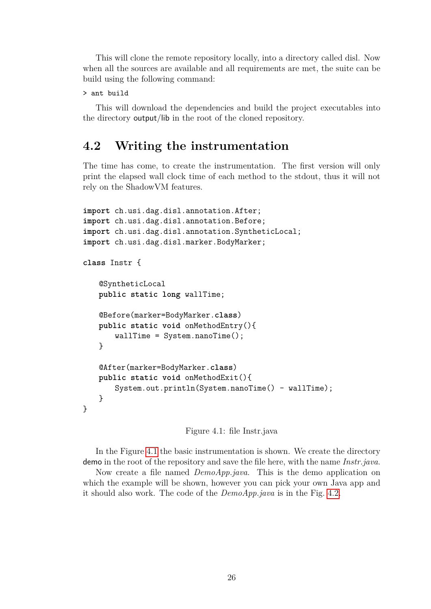This will clone the remote repository locally, into a directory called disl. Now when all the sources are available and all requirements are met, the suite can be build using the following command:

```
> ant build
```
This will download the dependencies and build the project executables into the directory output/lib in the root of the cloned repository.

## <span id="page-29-0"></span>**4.2 Writing the instrumentation**

The time has come, to create the instrumentation. The first version will only print the elapsed wall clock time of each method to the stdout, thus it will not rely on the ShadowVM features.

```
import ch.usi.dag.disl.annotation.After;
import ch.usi.dag.disl.annotation.Before;
import ch.usi.dag.disl.annotation.SyntheticLocal;
import ch.usi.dag.disl.marker.BodyMarker;
class Instr {
   @SyntheticLocal
   public static long wallTime;
   @Before(marker=BodyMarker.class)
   public static void onMethodEntry(){
       wallTime = System.nanoTime();
   }
   @After(marker=BodyMarker.class)
   public static void onMethodExit(){
       System.out.println(System.nanoTime() - wallTime);
   }
}
```
<span id="page-29-1"></span>

In the Figure [4.1](#page-29-1) the basic instrumentation is shown. We create the directory demo in the root of the repository and save the file here, with the name *Instr.java*.

Now create a file named *DemoApp.java*. This is the demo application on which the example will be shown, however you can pick your own Java app and it should also work. The code of the *DemoApp.java* is in the Fig. [4.2.](#page-30-0)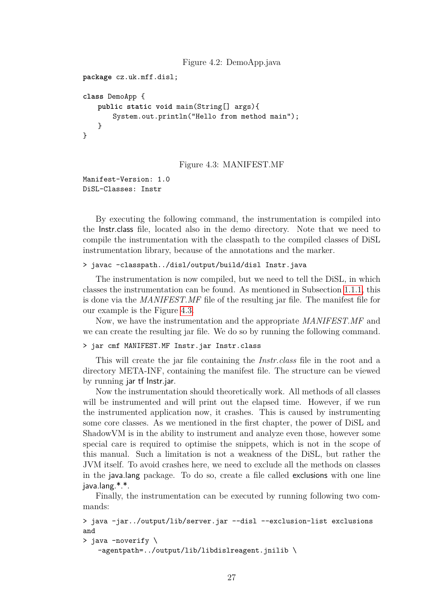```
Figure 4.2: DemoApp.java
package cz.uk.mff.disl;
class DemoApp {
   public static void main(String[] args){
       System.out.println("Hello from method main");
   }
}
```
<span id="page-30-1"></span><span id="page-30-0"></span>Figure 4.3: MANIFEST.MF

```
Manifest-Version: 1.0
DiSL-Classes: Instr
```
By executing the following command, the instrumentation is compiled into the Instr.class file, located also in the demo directory. Note that we need to compile the instrumentation with the classpath to the compiled classes of DiSL instrumentation library, because of the annotations and the marker.

```
> javac -classpath../disl/output/build/disl Instr.java
```
The instrumentation is now compiled, but we need to tell the DiSL, in which classes the instrumentation can be found. As mentioned in Subsection [1.1.1,](#page-7-1) this is done via the *MANIFEST.MF* file of the resulting jar file. The manifest file for our example is the Figure [4.3.](#page-30-1)

Now, we have the instrumentation and the appropriate *MANIFEST.MF* and we can create the resulting jar file. We do so by running the following command.

#### > jar cmf MANIFEST.MF Instr.jar Instr.class

This will create the jar file containing the *Instr.class* file in the root and a directory META-INF, containing the manifest file. The structure can be viewed by running jar tf Instr.jar.

Now the instrumentation should theoretically work. All methods of all classes will be instrumented and will print out the elapsed time. However, if we run the instrumented application now, it crashes. This is caused by instrumenting some core classes. As we mentioned in the first chapter, the power of DiSL and ShadowVM is in the ability to instrument and analyze even those, however some special care is required to optimise the snippets, which is not in the scope of this manual. Such a limitation is not a weakness of the DiSL, but rather the JVM itself. To avoid crashes here, we need to exclude all the methods on classes in the java.lang package. To do so, create a file called exclusions with one line java.lang.\*.\*.

Finally, the instrumentation can be executed by running following two commands:

```
> java -jar../output/lib/server.jar --disl --exclusion-list exclusions
and
```

```
> java -noverify \
```

```
-agentpath=../output/lib/libdislreagent.jnilib \
```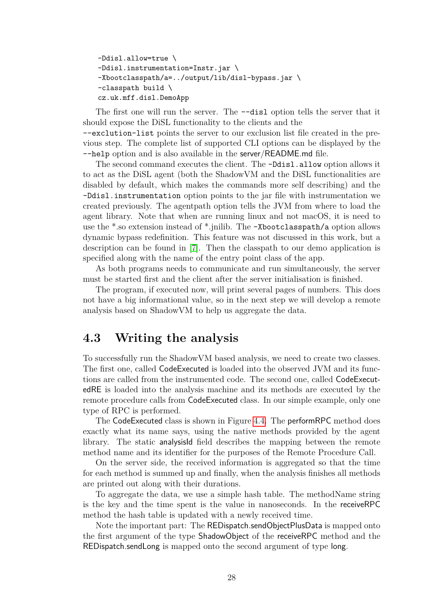```
-Ddisl.allow=true \
-Ddisl.instrumentation=Instr.jar \
-Xbootclasspath/a=../output/lib/disl-bypass.jar \
-classpath build \
cz.uk.mff.disl.DemoApp
```
The first one will run the server. The --disl option tells the server that it should expose the DiSL functionality to the clients and the

--exclution-list points the server to our exclusion list file created in the previous step. The complete list of supported CLI options can be displayed by the --help option and is also available in the server/README.md file.

The second command executes the client. The -Ddisl.allow option allows it to act as the DiSL agent (both the ShadowVM and the DiSL functionalities are disabled by default, which makes the commands more self describing) and the -Ddisl.instrumentation option points to the jar file with instrumentation we created previously. The agentpath option tells the JVM from where to load the agent library. Note that when are running linux and not macOS, it is need to use the \*.so extension instead of \*.jnilib. The -Xbootclasspath/a option allows dynamic bypass redefinition. This feature was not discussed in this work, but a description can be found in [\[7\]](#page-37-7). Then the classpath to our demo application is specified along with the name of the entry point class of the app.

As both programs needs to communicate and run simultaneously, the server must be started first and the client after the server initialisation is finished.

The program, if executed now, will print several pages of numbers. This does not have a big informational value, so in the next step we will develop a remote analysis based on ShadowVM to help us aggregate the data.

## <span id="page-31-0"></span>**4.3 Writing the analysis**

To successfully run the ShadowVM based analysis, we need to create two classes. The first one, called CodeExecuted is loaded into the observed JVM and its functions are called from the instrumented code. The second one, called CodeExecutedRE is loaded into the analysis machine and its methods are executed by the remote procedure calls from CodeExecuted class. In our simple example, only one type of RPC is performed.

The CodeExecuted class is shown in Figure [4.4.](#page-32-0) The performRPC method does exactly what its name says, using the native methods provided by the agent library. The static analysisId field describes the mapping between the remote method name and its identifier for the purposes of the Remote Procedure Call.

On the server side, the received information is aggregated so that the time for each method is summed up and finally, when the analysis finishes all methods are printed out along with their durations.

To aggregate the data, we use a simple hash table. The methodName string is the key and the time spent is the value in nanoseconds. In the receiveRPC method the hash table is updated with a newly received time.

Note the important part: The REDispatch.sendObjectPlusData is mapped onto the first argument of the type ShadowObject of the receiveRPC method and the REDispatch.sendLong is mapped onto the second argument of type long.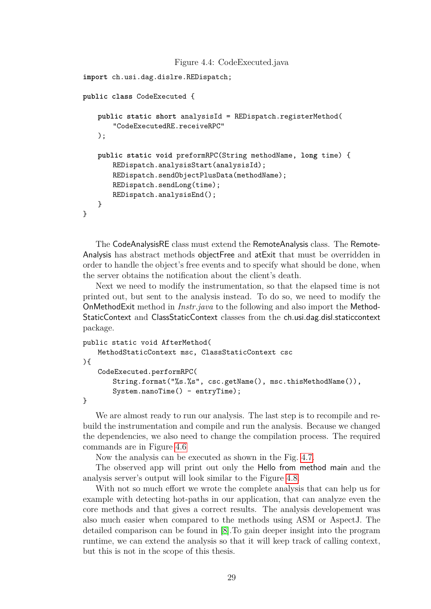```
import ch.usi.dag.dislre.REDispatch;
public class CodeExecuted {
   public static short analysisId = REDispatch.registerMethod(
       "CodeExecutedRE.receiveRPC"
   );
   public static void preformRPC(String methodName, long time) {
       REDispatch.analysisStart(analysisId);
       REDispatch.sendObjectPlusData(methodName);
       REDispatch.sendLong(time);
       REDispatch.analysisEnd();
   }
}
```
The CodeAnalysisRE class must extend the RemoteAnalysis class. The Remote-Analysis has abstract methods objectFree and atExit that must be overridden in order to handle the object's free events and to specify what should be done, when the server obtains the notification about the client's death.

Next we need to modify the instrumentation, so that the elapsed time is not printed out, but sent to the analysis instead. To do so, we need to modify the OnMethodExit method in *Instr.java* to the following and also import the Method-StaticContext and ClassStaticContext classes from the ch.usi.dag.disl.staticcontext package.

```
public static void AfterMethod(
   MethodStaticContext msc, ClassStaticContext csc
){
   CodeExecuted.performRPC(
       String.format("%s.%s", csc.getName(), msc.thisMethodName()),
       System.nanoTime() - entryTime);
}
```
We are almost ready to run our analysis. The last step is to recompile and rebuild the instrumentation and compile and run the analysis. Because we changed the dependencies, we also need to change the compilation process. The required commands are in Figure [4.6](#page-34-0)

Now the analysis can be executed as shown in the Fig. [4.7.](#page-34-1)

The observed app will print out only the Hello from method main and the analysis server's output will look similar to the Figure [4.8.](#page-34-2)

With not so much effort we wrote the complete analysis that can help us for example with detecting hot-paths in our application, that can analyze even the core methods and that gives a correct results. The analysis developement was also much easier when compared to the methods using ASM or AspectJ. The detailed comparison can be found in [\[8\]](#page-37-8).To gain deeper insight into the program runtime, we can extend the analysis so that it will keep track of calling context, but this is not in the scope of this thesis.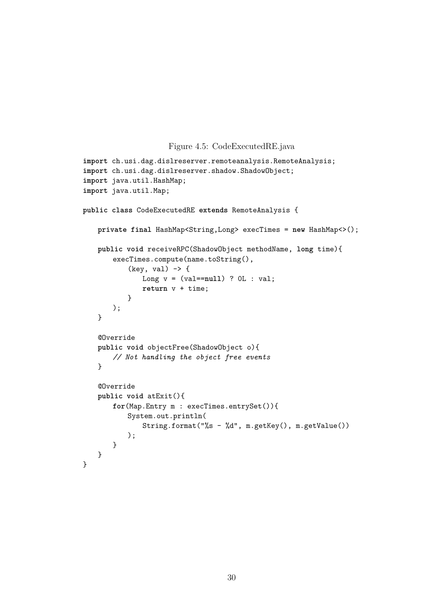Figure 4.5: CodeExecutedRE.java

```
import ch.usi.dag.dislreserver.remoteanalysis.RemoteAnalysis;
import ch.usi.dag.dislreserver.shadow.ShadowObject;
import java.util.HashMap;
import java.util.Map;
public class CodeExecutedRE extends RemoteAnalysis {
   private final HashMap<String,Long> execTimes = new HashMap<>();
   public void receiveRPC(ShadowObject methodName, long time){
       execTimes.compute(name.toString(),
           (key, val) -> {
              Long v = (val==null) ? 0L : val;
              return v + time;
          }
       );
   }
   @Override
   public void objectFree(ShadowObject o){
       // Not handling the object free events
   }
   @Override
   public void atExit(){
       for(Map.Entry m : execTimes.entrySet()){
           System.out.println(
              String.format("%s - %d", m.getKey(), m.getValue())
          );
       }
   }
}
```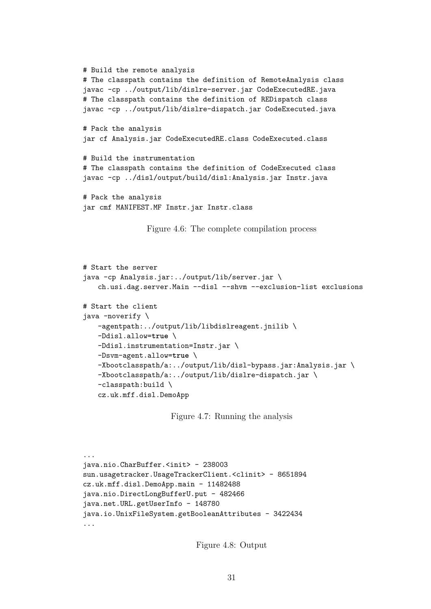```
# Build the remote analysis
# The classpath contains the definition of RemoteAnalysis class
javac -cp ../output/lib/dislre-server.jar CodeExecutedRE.java
# The classpath contains the definition of REDispatch class
javac -cp ../output/lib/dislre-dispatch.jar CodeExecuted.java
# Pack the analysis
jar cf Analysis.jar CodeExecutedRE.class CodeExecuted.class
# Build the instrumentation
# The classpath contains the definition of CodeExecuted class
javac -cp ../disl/output/build/disl:Analysis.jar Instr.java
# Pack the analysis
jar cmf MANIFEST.MF Instr.jar Instr.class
               Figure 4.6: The complete compilation process
# Start the server
java -cp Analysis.jar:../output/lib/server.jar \
   ch.usi.dag.server.Main --disl --shvm --exclusion-list exclusions
# Start the client
java -noverify \
   -agentpath:../output/lib/libdislreagent.jnilib \
   -Ddisl.allow=true \
```

```
-Ddisl.instrumentation=Instr.jar \
```

```
-Dsvm-agent.allow=true \
```

```
-Xbootclasspath/a:../output/lib/disl-bypass.jar:Analysis.jar \
-Xbootclasspath/a:../output/lib/dislre-dispatch.jar \
-classpath:build \
```

```
cz.uk.mff.disl.DemoApp
```
<span id="page-34-1"></span>

```
...
java.nio.CharBuffer.<init> - 238003
sun.usagetracker.UsageTrackerClient.<clinit> - 8651894
cz.uk.mff.disl.DemoApp.main - 11482488
java.nio.DirectLongBufferU.put - 482466
java.net.URL.getUserInfo - 148780
java.io.UnixFileSystem.getBooleanAttributes - 3422434
...
```
<span id="page-34-2"></span>Figure 4.8: Output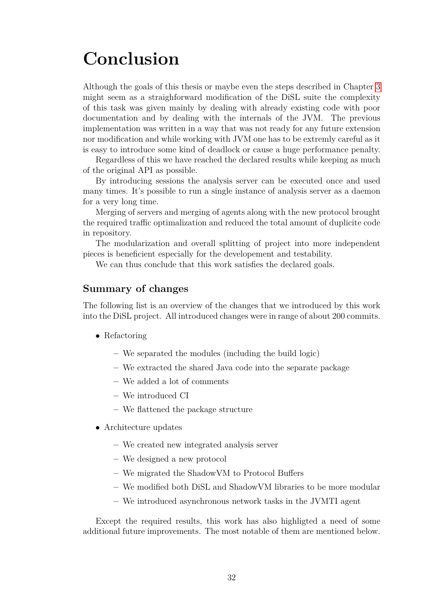# <span id="page-35-0"></span>**Conclusion**

Although the goals of this thesis or maybe even the steps described in Chapter [3](#page-21-0) might seem as a straighforward modification of the DiSL suite the complexity of this task was given mainly by dealing with already existing code with poor documentation and by dealing with the internals of the JVM. The previous implementation was written in a way that was not ready for any future extension nor modification and while working with JVM one has to be extremly careful as it is easy to introduce some kind of deadlock or cause a huge performance penalty.

Regardless of this we have reached the declared results while keeping as much of the original API as possible.

By introducing sessions the analysis server can be executed once and used many times. It's possible to run a single instance of analysis server as a daemon for a very long time.

Merging of servers and merging of agents along with the new protocol brought the required traffic optimalization and reduced the total amount of duplicite code in repository.

The modularization and overall splitting of project into more independent pieces is beneficient especially for the developement and testability.

We can thus conclude that this work satisfies the declared goals.

#### **Summary of changes**

The following list is an overview of the changes that we introduced by this work into the DiSL project. All introduced changes were in range of about 200 commits.

- Refactoring
	- **–** We separated the modules (including the build logic)
	- **–** We extracted the shared Java code into the separate package
	- **–** We added a lot of comments
	- **–** We introduced CI
	- **–** We flattened the package structure
- Architecture updates
	- **–** We created new integrated analysis server
	- **–** We designed a new protocol
	- **–** We migrated the ShadowVM to Protocol Buffers
	- **–** We modified both DiSL and ShadowVM libraries to be more modular
	- **–** We introduced asynchronous network tasks in the JVMTI agent

Except the required results, this work has also highligted a need of some additional future improvements. The most notable of them are mentioned below.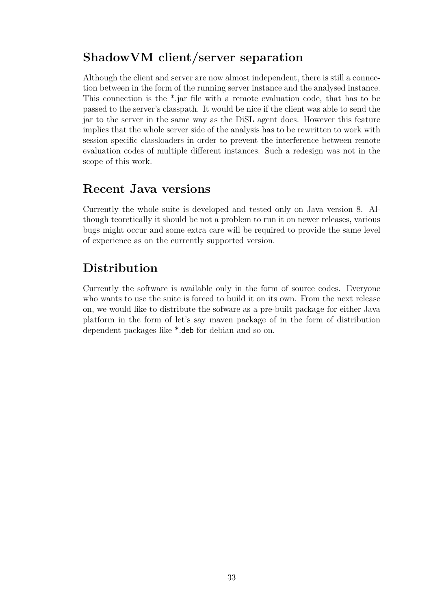# **ShadowVM client/server separation**

Although the client and server are now almost independent, there is still a connection between in the form of the running server instance and the analysed instance. This connection is the \*.jar file with a remote evaluation code, that has to be passed to the server's classpath. It would be nice if the client was able to send the jar to the server in the same way as the DiSL agent does. However this feature implies that the whole server side of the analysis has to be rewritten to work with session specific classloaders in order to prevent the interference between remote evaluation codes of multiple different instances. Such a redesign was not in the scope of this work.

# **Recent Java versions**

Currently the whole suite is developed and tested only on Java version 8. Although teoretically it should be not a problem to run it on newer releases, various bugs might occur and some extra care will be required to provide the same level of experience as on the currently supported version.

# **Distribution**

Currently the software is available only in the form of source codes. Everyone who wants to use the suite is forced to build it on its own. From the next release on, we would like to distribute the sofware as a pre-built package for either Java platform in the form of let's say maven package of in the form of distribution dependent packages like \*.deb for debian and so on.